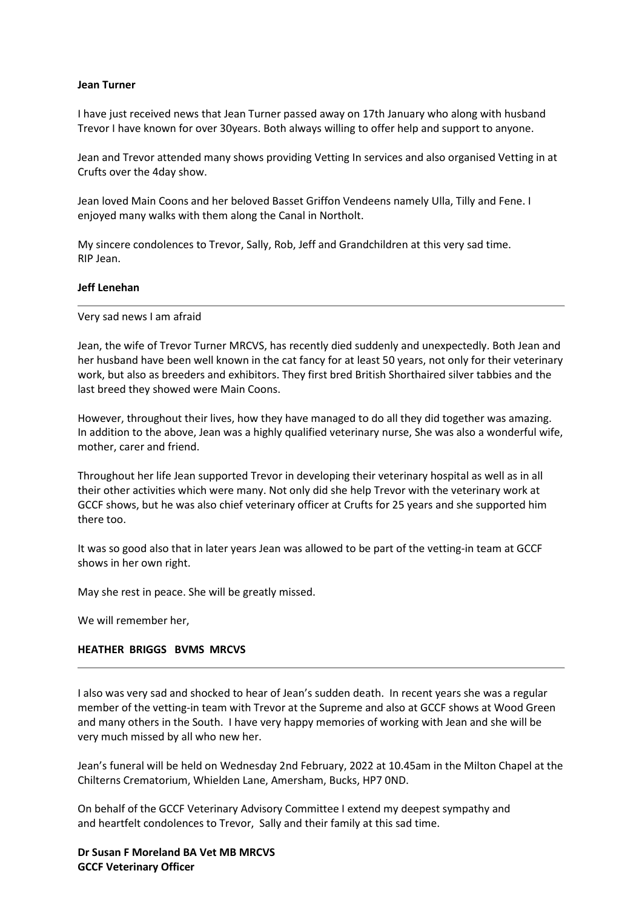#### **Jean Turner**

I have just received news that Jean Turner passed away on 17th January who along with husband Trevor I have known for over 30years. Both always willing to offer help and support to anyone.

Jean and Trevor attended many shows providing Vetting In services and also organised Vetting in at Crufts over the 4day show.

Jean loved Main Coons and her beloved Basset Griffon Vendeens namely Ulla, Tilly and Fene. I enjoyed many walks with them along the Canal in Northolt.

My sincere condolences to Trevor, Sally, Rob, Jeff and Grandchildren at this very sad time. RIP Jean.

#### **Jeff Lenehan**

Very sad news I am afraid

Jean, the wife of Trevor Turner MRCVS, has recently died suddenly and unexpectedly. Both Jean and her husband have been well known in the cat fancy for at least 50 years, not only for their veterinary work, but also as breeders and exhibitors. They first bred British Shorthaired silver tabbies and the last breed they showed were Main Coons.

However, throughout their lives, how they have managed to do all they did together was amazing. In addition to the above, Jean was a highly qualified veterinary nurse, She was also a wonderful wife, mother, carer and friend.

Throughout her life Jean supported Trevor in developing their veterinary hospital as well as in all their other activities which were many. Not only did she help Trevor with the veterinary work at GCCF shows, but he was also chief veterinary officer at Crufts for 25 years and she supported him there too.

It was so good also that in later years Jean was allowed to be part of the vetting-in team at GCCF shows in her own right.

May she rest in peace. She will be greatly missed.

We will remember her,

## **HEATHER BRIGGS BVMS MRCVS**

I also was very sad and shocked to hear of Jean's sudden death. In recent years she was a regular member of the vetting-in team with Trevor at the Supreme and also at GCCF shows at Wood Green and many others in the South. I have very happy memories of working with Jean and she will be very much missed by all who new her.

Jean's funeral will be held on Wednesday 2nd February, 2022 at 10.45am in the Milton Chapel at the Chilterns Crematorium, Whielden Lane, Amersham, Bucks, HP7 0ND.

On behalf of the GCCF Veterinary Advisory Committee I extend my deepest sympathy and and heartfelt condolences to Trevor, Sally and their family at this sad time.

**Dr Susan F Moreland BA Vet MB MRCVS GCCF Veterinary Officer**